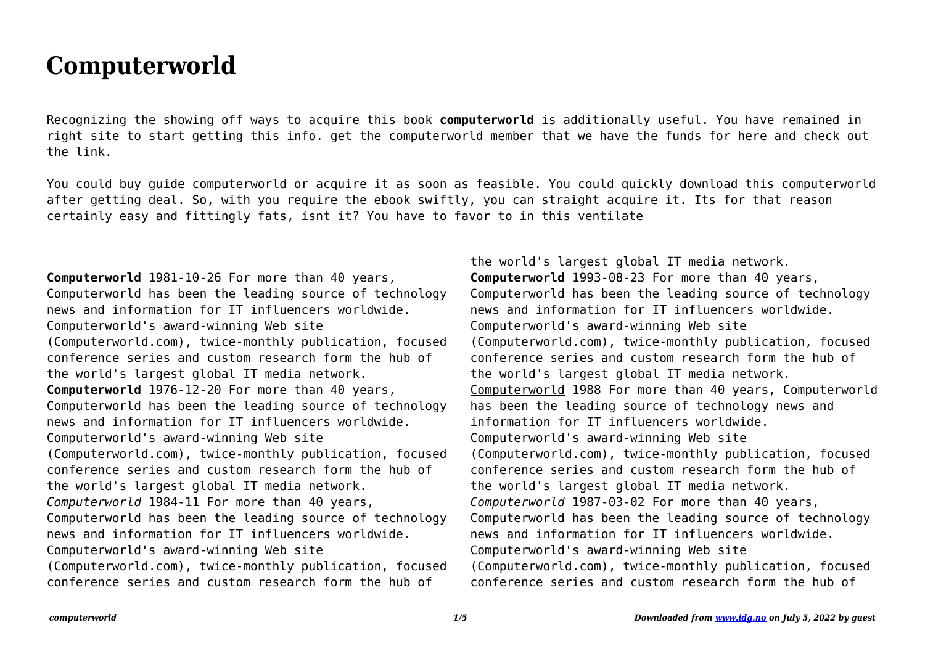## **Computerworld**

Recognizing the showing off ways to acquire this book **computerworld** is additionally useful. You have remained in right site to start getting this info. get the computerworld member that we have the funds for here and check out the link.

You could buy guide computerworld or acquire it as soon as feasible. You could quickly download this computerworld after getting deal. So, with you require the ebook swiftly, you can straight acquire it. Its for that reason certainly easy and fittingly fats, isnt it? You have to favor to in this ventilate

**Computerworld** 1981-10-26 For more than 40 years, Computerworld has been the leading source of technology news and information for IT influencers worldwide. Computerworld's award-winning Web site (Computerworld.com), twice-monthly publication, focused conference series and custom research form the hub of the world's largest global IT media network. **Computerworld** 1976-12-20 For more than 40 years, Computerworld has been the leading source of technology news and information for IT influencers worldwide. Computerworld's award-winning Web site (Computerworld.com), twice-monthly publication, focused conference series and custom research form the hub of the world's largest global IT media network. *Computerworld* 1984-11 For more than 40 years, Computerworld has been the leading source of technology news and information for IT influencers worldwide. Computerworld's award-winning Web site (Computerworld.com), twice-monthly publication, focused conference series and custom research form the hub of

the world's largest global IT media network. **Computerworld** 1993-08-23 For more than 40 years, Computerworld has been the leading source of technology news and information for IT influencers worldwide. Computerworld's award-winning Web site (Computerworld.com), twice-monthly publication, focused conference series and custom research form the hub of the world's largest global IT media network. Computerworld 1988 For more than 40 years, Computerworld has been the leading source of technology news and information for IT influencers worldwide. Computerworld's award-winning Web site (Computerworld.com), twice-monthly publication, focused conference series and custom research form the hub of the world's largest global IT media network. *Computerworld* 1987-03-02 For more than 40 years, Computerworld has been the leading source of technology news and information for IT influencers worldwide. Computerworld's award-winning Web site (Computerworld.com), twice-monthly publication, focused conference series and custom research form the hub of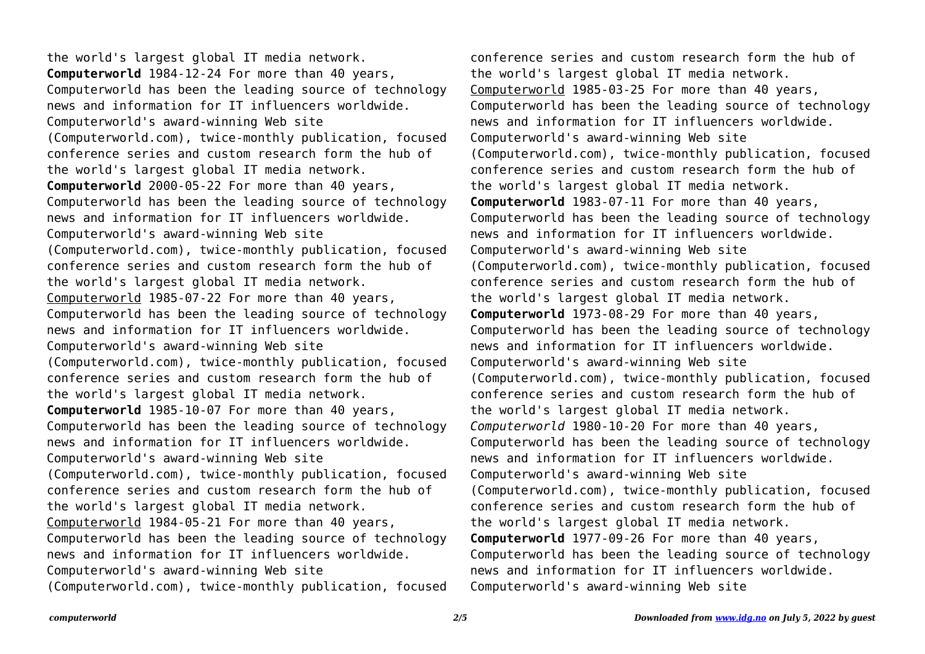the world's largest global IT media network. **Computerworld** 1984-12-24 For more than 40 years, Computerworld has been the leading source of technology news and information for IT influencers worldwide. Computerworld's award-winning Web site (Computerworld.com), twice-monthly publication, focused conference series and custom research form the hub of the world's largest global IT media network. **Computerworld** 2000-05-22 For more than 40 years, Computerworld has been the leading source of technology news and information for IT influencers worldwide. Computerworld's award-winning Web site (Computerworld.com), twice-monthly publication, focused conference series and custom research form the hub of the world's largest global IT media network. Computerworld 1985-07-22 For more than 40 years, Computerworld has been the leading source of technology news and information for IT influencers worldwide. Computerworld's award-winning Web site (Computerworld.com), twice-monthly publication, focused conference series and custom research form the hub of the world's largest global IT media network. **Computerworld** 1985-10-07 For more than 40 years, Computerworld has been the leading source of technology news and information for IT influencers worldwide. Computerworld's award-winning Web site (Computerworld.com), twice-monthly publication, focused conference series and custom research form the hub of the world's largest global IT media network. Computerworld 1984-05-21 For more than 40 years, Computerworld has been the leading source of technology news and information for IT influencers worldwide. Computerworld's award-winning Web site (Computerworld.com), twice-monthly publication, focused

conference series and custom research form the hub of the world's largest global IT media network. Computerworld 1985-03-25 For more than 40 years, Computerworld has been the leading source of technology news and information for IT influencers worldwide. Computerworld's award-winning Web site (Computerworld.com), twice-monthly publication, focused conference series and custom research form the hub of the world's largest global IT media network. **Computerworld** 1983-07-11 For more than 40 years, Computerworld has been the leading source of technology news and information for IT influencers worldwide. Computerworld's award-winning Web site (Computerworld.com), twice-monthly publication, focused conference series and custom research form the hub of the world's largest global IT media network. **Computerworld** 1973-08-29 For more than 40 years, Computerworld has been the leading source of technology news and information for IT influencers worldwide. Computerworld's award-winning Web site (Computerworld.com), twice-monthly publication, focused conference series and custom research form the hub of the world's largest global IT media network. *Computerworld* 1980-10-20 For more than 40 years, Computerworld has been the leading source of technology news and information for IT influencers worldwide. Computerworld's award-winning Web site (Computerworld.com), twice-monthly publication, focused conference series and custom research form the hub of the world's largest global IT media network. **Computerworld** 1977-09-26 For more than 40 years, Computerworld has been the leading source of technology news and information for IT influencers worldwide. Computerworld's award-winning Web site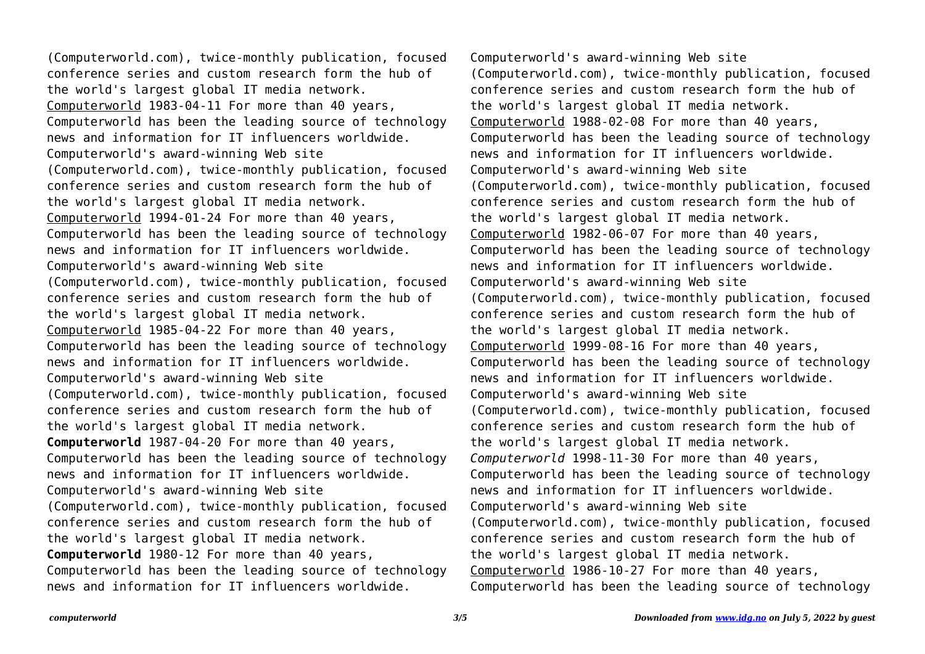(Computerworld.com), twice-monthly publication, focused conference series and custom research form the hub of the world's largest global IT media network. Computerworld 1983-04-11 For more than 40 years, Computerworld has been the leading source of technology news and information for IT influencers worldwide. Computerworld's award-winning Web site (Computerworld.com), twice-monthly publication, focused conference series and custom research form the hub of the world's largest global IT media network. Computerworld 1994-01-24 For more than 40 years, Computerworld has been the leading source of technology news and information for IT influencers worldwide. Computerworld's award-winning Web site (Computerworld.com), twice-monthly publication, focused conference series and custom research form the hub of the world's largest global IT media network. Computerworld 1985-04-22 For more than 40 years, Computerworld has been the leading source of technology news and information for IT influencers worldwide. Computerworld's award-winning Web site (Computerworld.com), twice-monthly publication, focused conference series and custom research form the hub of the world's largest global IT media network. **Computerworld** 1987-04-20 For more than 40 years, Computerworld has been the leading source of technology news and information for IT influencers worldwide. Computerworld's award-winning Web site (Computerworld.com), twice-monthly publication, focused conference series and custom research form the hub of the world's largest global IT media network. **Computerworld** 1980-12 For more than 40 years, Computerworld has been the leading source of technology news and information for IT influencers worldwide.

Computerworld's award-winning Web site (Computerworld.com), twice-monthly publication, focused conference series and custom research form the hub of the world's largest global IT media network. Computerworld 1988-02-08 For more than 40 years, Computerworld has been the leading source of technology news and information for IT influencers worldwide. Computerworld's award-winning Web site (Computerworld.com), twice-monthly publication, focused conference series and custom research form the hub of the world's largest global IT media network. Computerworld 1982-06-07 For more than 40 years, Computerworld has been the leading source of technology news and information for IT influencers worldwide. Computerworld's award-winning Web site (Computerworld.com), twice-monthly publication, focused conference series and custom research form the hub of the world's largest global IT media network. Computerworld 1999-08-16 For more than 40 years, Computerworld has been the leading source of technology news and information for IT influencers worldwide. Computerworld's award-winning Web site (Computerworld.com), twice-monthly publication, focused conference series and custom research form the hub of the world's largest global IT media network. *Computerworld* 1998-11-30 For more than 40 years, Computerworld has been the leading source of technology news and information for IT influencers worldwide. Computerworld's award-winning Web site (Computerworld.com), twice-monthly publication, focused conference series and custom research form the hub of the world's largest global IT media network. Computerworld 1986-10-27 For more than 40 years, Computerworld has been the leading source of technology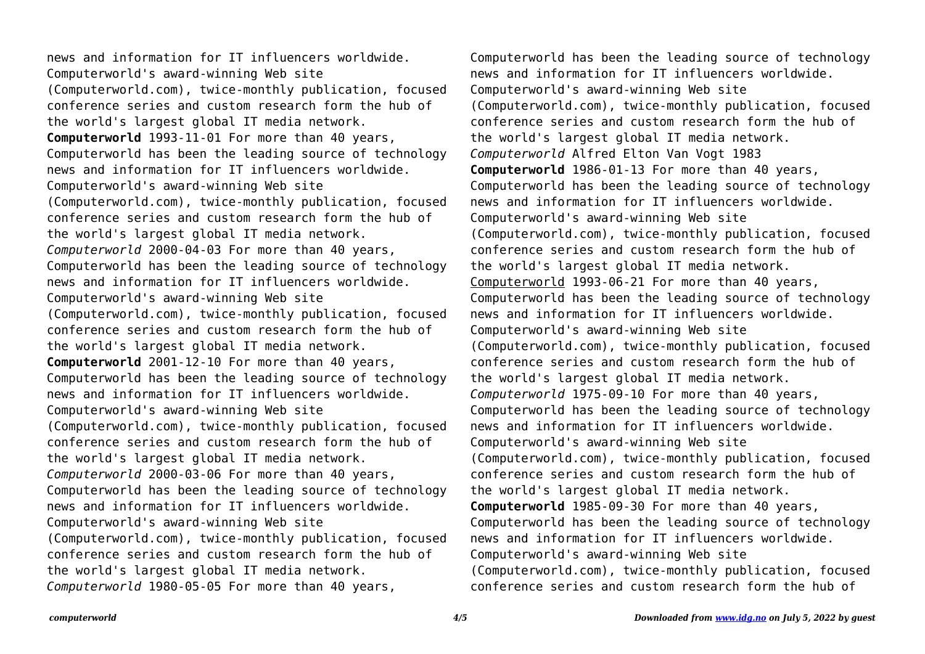news and information for IT influencers worldwide. Computerworld's award-winning Web site (Computerworld.com), twice-monthly publication, focused conference series and custom research form the hub of the world's largest global IT media network. **Computerworld** 1993-11-01 For more than 40 years, Computerworld has been the leading source of technology news and information for IT influencers worldwide. Computerworld's award-winning Web site (Computerworld.com), twice-monthly publication, focused conference series and custom research form the hub of the world's largest global IT media network. *Computerworld* 2000-04-03 For more than 40 years, Computerworld has been the leading source of technology news and information for IT influencers worldwide. Computerworld's award-winning Web site (Computerworld.com), twice-monthly publication, focused conference series and custom research form the hub of the world's largest global IT media network. **Computerworld** 2001-12-10 For more than 40 years, Computerworld has been the leading source of technology news and information for IT influencers worldwide. Computerworld's award-winning Web site (Computerworld.com), twice-monthly publication, focused conference series and custom research form the hub of the world's largest global IT media network. *Computerworld* 2000-03-06 For more than 40 years, Computerworld has been the leading source of technology news and information for IT influencers worldwide. Computerworld's award-winning Web site (Computerworld.com), twice-monthly publication, focused conference series and custom research form the hub of the world's largest global IT media network. *Computerworld* 1980-05-05 For more than 40 years,

Computerworld has been the leading source of technology news and information for IT influencers worldwide. Computerworld's award-winning Web site (Computerworld.com), twice-monthly publication, focused conference series and custom research form the hub of the world's largest global IT media network. *Computerworld* Alfred Elton Van Vogt 1983 **Computerworld** 1986-01-13 For more than 40 years, Computerworld has been the leading source of technology news and information for IT influencers worldwide. Computerworld's award-winning Web site (Computerworld.com), twice-monthly publication, focused conference series and custom research form the hub of the world's largest global IT media network. Computerworld 1993-06-21 For more than 40 years, Computerworld has been the leading source of technology news and information for IT influencers worldwide. Computerworld's award-winning Web site (Computerworld.com), twice-monthly publication, focused conference series and custom research form the hub of the world's largest global IT media network. *Computerworld* 1975-09-10 For more than 40 years, Computerworld has been the leading source of technology news and information for IT influencers worldwide. Computerworld's award-winning Web site (Computerworld.com), twice-monthly publication, focused conference series and custom research form the hub of the world's largest global IT media network. **Computerworld** 1985-09-30 For more than 40 years, Computerworld has been the leading source of technology news and information for IT influencers worldwide. Computerworld's award-winning Web site (Computerworld.com), twice-monthly publication, focused conference series and custom research form the hub of